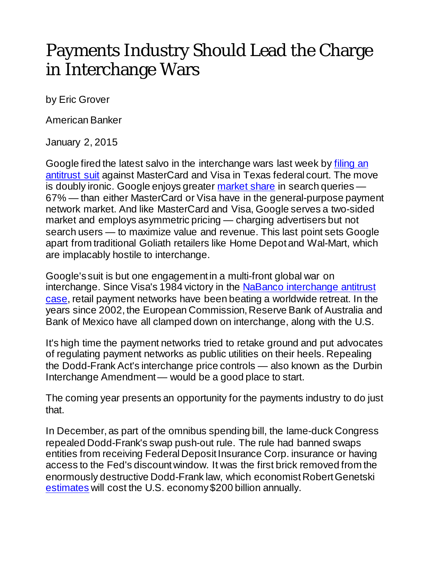## Payments Industry Should Lead the Charge in Interchange Wars

by Eric Grover

American Banker

January 2, 2015

Google fired the latest salvo in the interchange wars last week by [filing an](http://www.law360.com/retail/articles/607568)  [antitrust suit](http://www.law360.com/retail/articles/607568) against MasterCard and Visa in Texas federal court. The move is doubly ironic. Google enjoys greater [market share](http://www.comscore.com/Insights/Market-Rankings/comScore-Releases-August-2014-US-Search-Engine-Rankings) in search queries — 67% — than either MasterCard or Visa have in the general-purpose payment network market. And like MasterCard and Visa, Google serves a two-sided market and employs asymmetric pricing — charging advertisers but not search users — to maximize value and revenue. This last point sets Google apart from traditional Goliath retailers like Home Depot and Wal-Mart, which are implacably hostile to interchange.

Google's suit is but one engagement in a multi-front global war on interchange. Since Visa's 1984 victory in the [NaBanco interchange antitrust](http://www.mastercard.com/us/company/en/newsroom/us_merchant_interchange_lawsuit.html)  [case,](http://www.mastercard.com/us/company/en/newsroom/us_merchant_interchange_lawsuit.html) retail payment networks have been beating a worldwide retreat. In the years since 2002, the European Commission, Reserve Bank of Australia and Bank of Mexico have all clamped down on interchange, along with the U.S.

It's high time the payment networks tried to retake ground and put advocates of regulating payment networks as public utilities on their heels. Repealing the Dodd-Frank Act's interchange price controls — also known as the Durbin Interchange Amendment — would be a good place to start.

The coming year presents an opportunity for the payments industry to do just that.

In December, as part of the omnibus spending bill, the lame-duck Congress repealed Dodd-Frank's swap push-out rule. The rule had banned swaps entities from receiving Federal Deposit Insurance Corp. insurance or having access to the Fed's discount window. It was the first brick removed from the enormously destructive Dodd-Frank law, which economist Robert Genetski [estimates](http://news.investors.com/ibd-editorials-viewpoint/121214-730399-dodd-frank-costs-soar-as-new-rules-get-added.htm%23ixzz3LnYbmrP9) will cost the U.S. economy \$200 billion annually.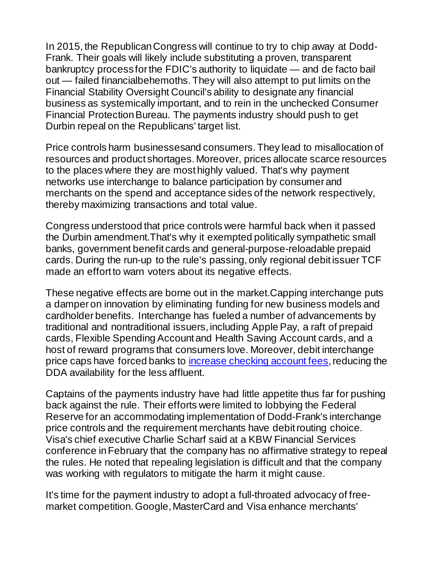In 2015, the Republican Congress will continue to try to chip away at Dodd-Frank. Their goals will likely include substituting a proven, transparent bankruptcy process for the FDIC's authority to liquidate — and de facto bail out — failed financialbehemoths. They will also attempt to put limits on the Financial Stability Oversight Council's ability to designate any financial business as systemically important, and to rein in the unchecked Consumer Financial Protection Bureau. The payments industry should push to get Durbin repeal on the Republicans' target list.

Price controls harm businessesand consumers. They lead to misallocation of resources and product shortages. Moreover, prices allocate scarce resources to the places where they are most highly valued. That's why payment networks use interchange to balance participation by consumer and merchants on the spend and acceptance sides of the network respectively, thereby maximizing transactions and total value.

Congress understood that price controls were harmful back when it passed the Durbin amendment.That's why it exempted politically sympathetic small banks, government benefit cards and general-purpose-reloadable prepaid cards. During the run-up to the rule's passing, only regional debit issuer TCF made an effort to warn voters about its negative effects.

These negative effects are borne out in the market.Capping interchange puts a damper on innovation by eliminating funding for new business models and cardholder benefits. Interchange has fueled a number of advancements by traditional and nontraditional issuers, including Apple Pay, a raft of prepaid cards, Flexible Spending Account and Health Saving Account cards, and a host of reward programs that consumers love. Moreover, debit interchange price caps have forced banks to [increase checking account fees,](http://online.wsj.com/news/articles/SB10001424052702304450904579365251142904312?mod=WSJ_Markets_LEFTTopStories) reducing the DDA availability for the less affluent.

Captains of the payments industry have had little appetite thus far for pushing back against the rule. Their efforts were limited to lobbying the Federal Reserve for an accommodating implementation of Dodd-Frank's interchange price controls and the requirement merchants have debit routing choice. Visa's chief executive Charlie Scharf said at a KBW Financial Services conference in February that the company has no affirmative strategy to repeal the rules. He noted that repealing legislation is difficult and that the company was working with regulators to mitigate the harm it might cause.

It's time for the payment industry to adopt a full-throated advocacy of freemarket competition. Google, MasterCard and Visa enhance merchants'